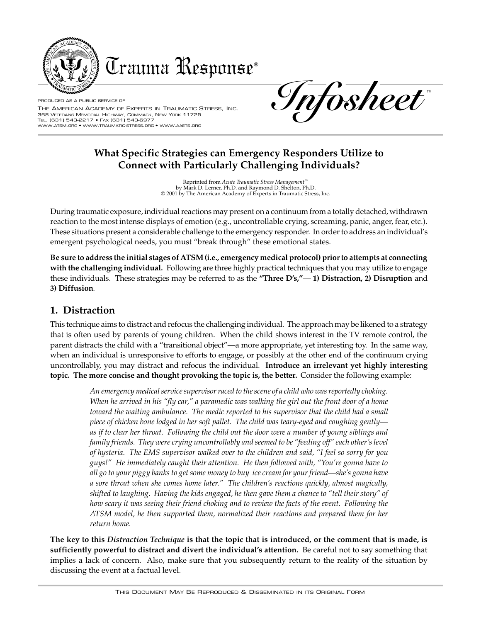

Trauma Response®

PRODUCED AS A PUBLIC SERVICE OF THE AMERICAN ACADEMY OF EXPERTS IN TRAUMATIC STRESS, INC. 368 VETERANS MEMORIAL HIGHWAY, COMMACK, NEW YORK 11725 TEL. (631) 543-2217 • FAX (631) 543-6977 WWW.ATSM.ORG • WWW.TRAUMATIC-STRESS.ORG • WWW.AAETS.ORG

TM **Infosheet**

## **What Specific Strategies can Emergency Responders Utilize to Connect with Particularly Challenging Individuals?**

Reprinted from *Acute Traumatic Stress Management™* by Mark D. Lerner, Ph.D. and Raymond D. Shelton, Ph.D. © 2001 by The American Academy of Experts in Traumatic Stress, Inc.

During traumatic exposure, individual reactions may present on a continuum from a totally detached, withdrawn reaction to the most intense displays of emotion (e.g., uncontrollable crying, screaming, panic, anger, fear, etc.). These situations present a considerable challenge to the emergency responder. In order to address an individual's emergent psychological needs, you must "break through" these emotional states.

**Be sure to address the initial stages of ATSM (i.e., emergency medical protocol) prior to attempts at connecting with the challenging individual.** Following are three highly practical techniques that you may utilize to engage these individuals. These strategies may be referred to as the **"Three D's,"**— **1) Distraction, 2) Disruption** and **3) Diffusion**.

## **1. Distraction**

This technique aims to distract and refocus the challenging individual. The approach may be likened to a strategy that is often used by parents of young children. When the child shows interest in the TV remote control, the parent distracts the child with a "transitional object"—a more appropriate, yet interesting toy. In the same way, when an individual is unresponsive to efforts to engage, or possibly at the other end of the continuum crying uncontrollably, you may distract and refocus the individual. **Introduce an irrelevant yet highly interesting topic. The more concise and thought provoking the topic is, the better.** Consider the following example:

> *An emergency medical service supervisor raced to the scene of a child who was reportedly choking. When he arrived in his "fly car," a paramedic was walking the girl out the front door of a home toward the waiting ambulance. The medic reported to his supervisor that the child had a small piece of chicken bone lodged in her soft pallet. The child was teary-eyed and coughing gently as if to clear her throat. Following the child out the door were a number of young siblings and family friends. They were crying uncontrollably and seemed to be "feeding off" each other's level of hysteria. The EMS supervisor walked over to the children and said, "I feel so sorry for you guys!" He immediately caught their attention. He then followed with, "You're gonna have to all go to your piggy banks to get some money to buy ice cream for your friend—she's gonna have a sore throat when she comes home later." The children's reactions quickly, almost magically, shifted to laughing. Having the kids engaged, he then gave them a chance to "tell their story" of how scary it was seeing their friend choking and to review the facts of the event. Following the ATSM model, he then supported them, normalized their reactions and prepared them for her return home.*

**The key to this** *Distraction Technique* **is that the topic that is introduced, or the comment that is made, is sufficiently powerful to distract and divert the individual's attention.** Be careful not to say something that implies a lack of concern. Also, make sure that you subsequently return to the reality of the situation by discussing the event at a factual level.